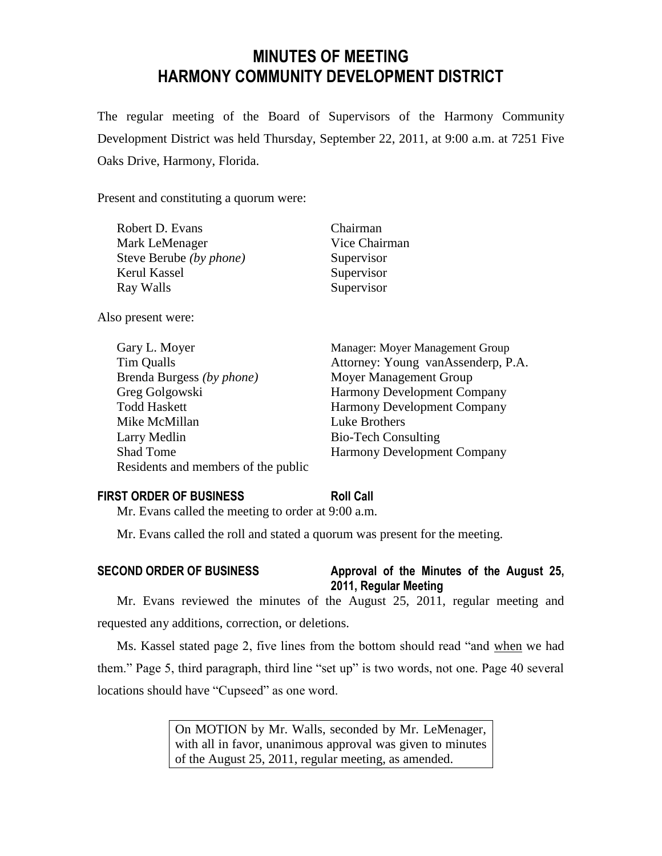## **MINUTES OF MEETING HARMONY COMMUNITY DEVELOPMENT DISTRICT**

The regular meeting of the Board of Supervisors of the Harmony Community Development District was held Thursday, September 22, 2011, at 9:00 a.m. at 7251 Five Oaks Drive, Harmony, Florida.

Present and constituting a quorum were:

| Robert D. Evans         | Chairman      |
|-------------------------|---------------|
| Mark LeMenager          | Vice Chairman |
| Steve Berube (by phone) | Supervisor    |
| Kerul Kassel            | Supervisor    |
| Ray Walls               | Supervisor    |
|                         |               |

Also present were:

| Gary L. Moyer                       | Manager: Moyer Management Group    |
|-------------------------------------|------------------------------------|
| Tim Qualls                          | Attorney: Young vanAssenderp, P.A. |
| Brenda Burgess (by phone)           | Moyer Management Group             |
| Greg Golgowski                      | Harmony Development Company        |
| <b>Todd Haskett</b>                 | <b>Harmony Development Company</b> |
| Mike McMillan                       | Luke Brothers                      |
| Larry Medlin                        | <b>Bio-Tech Consulting</b>         |
| Shad Tome                           | <b>Harmony Development Company</b> |
| Residents and members of the public |                                    |

# **FIRST ORDER OF BUSINESS Roll Call**

Mr. Evans called the meeting to order at 9:00 a.m.

Mr. Evans called the roll and stated a quorum was present for the meeting.

### **SECOND ORDER OF BUSINESS Approval of the Minutes of the August 25,**

# **2011, Regular Meeting**

Mr. Evans reviewed the minutes of the August 25, 2011, regular meeting and requested any additions, correction, or deletions.

Ms. Kassel stated page 2, five lines from the bottom should read "and when we had them." Page 5, third paragraph, third line "set up" is two words, not one. Page 40 several locations should have "Cupseed" as one word.

> On MOTION by Mr. Walls, seconded by Mr. LeMenager, with all in favor, unanimous approval was given to minutes of the August 25, 2011, regular meeting, as amended.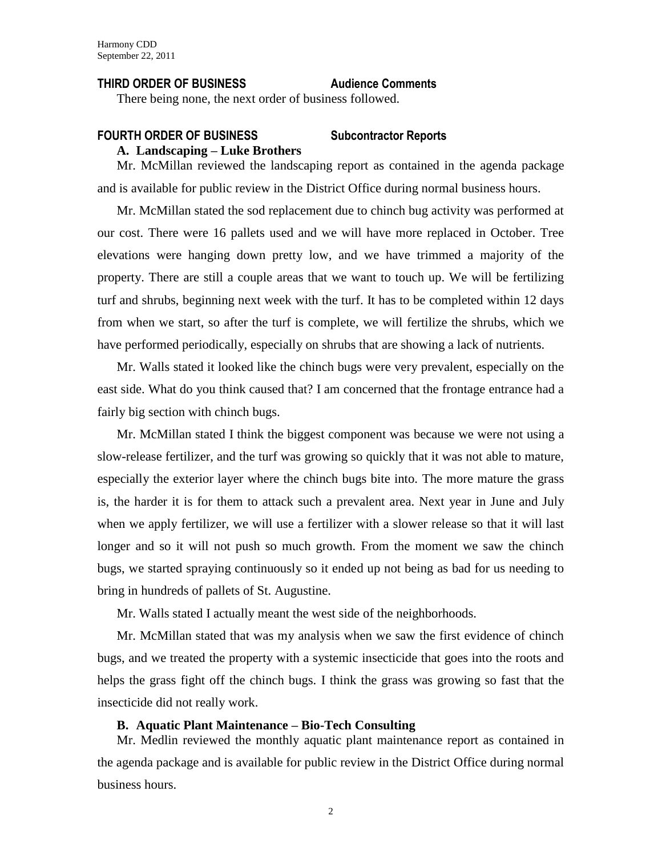#### **THIRD ORDER OF BUSINESS Audience Comments**

There being none, the next order of business followed.

#### **FOURTH ORDER OF BUSINESS Subcontractor Reports A. Landscaping – Luke Brothers**

Mr. McMillan reviewed the landscaping report as contained in the agenda package and is available for public review in the District Office during normal business hours.

Mr. McMillan stated the sod replacement due to chinch bug activity was performed at our cost. There were 16 pallets used and we will have more replaced in October. Tree elevations were hanging down pretty low, and we have trimmed a majority of the property. There are still a couple areas that we want to touch up. We will be fertilizing turf and shrubs, beginning next week with the turf. It has to be completed within 12 days from when we start, so after the turf is complete, we will fertilize the shrubs, which we have performed periodically, especially on shrubs that are showing a lack of nutrients.

Mr. Walls stated it looked like the chinch bugs were very prevalent, especially on the east side. What do you think caused that? I am concerned that the frontage entrance had a fairly big section with chinch bugs.

Mr. McMillan stated I think the biggest component was because we were not using a slow-release fertilizer, and the turf was growing so quickly that it was not able to mature, especially the exterior layer where the chinch bugs bite into. The more mature the grass is, the harder it is for them to attack such a prevalent area. Next year in June and July when we apply fertilizer, we will use a fertilizer with a slower release so that it will last longer and so it will not push so much growth. From the moment we saw the chinch bugs, we started spraying continuously so it ended up not being as bad for us needing to bring in hundreds of pallets of St. Augustine.

Mr. Walls stated I actually meant the west side of the neighborhoods.

Mr. McMillan stated that was my analysis when we saw the first evidence of chinch bugs, and we treated the property with a systemic insecticide that goes into the roots and helps the grass fight off the chinch bugs. I think the grass was growing so fast that the insecticide did not really work.

#### **B. Aquatic Plant Maintenance – Bio-Tech Consulting**

Mr. Medlin reviewed the monthly aquatic plant maintenance report as contained in the agenda package and is available for public review in the District Office during normal business hours.

2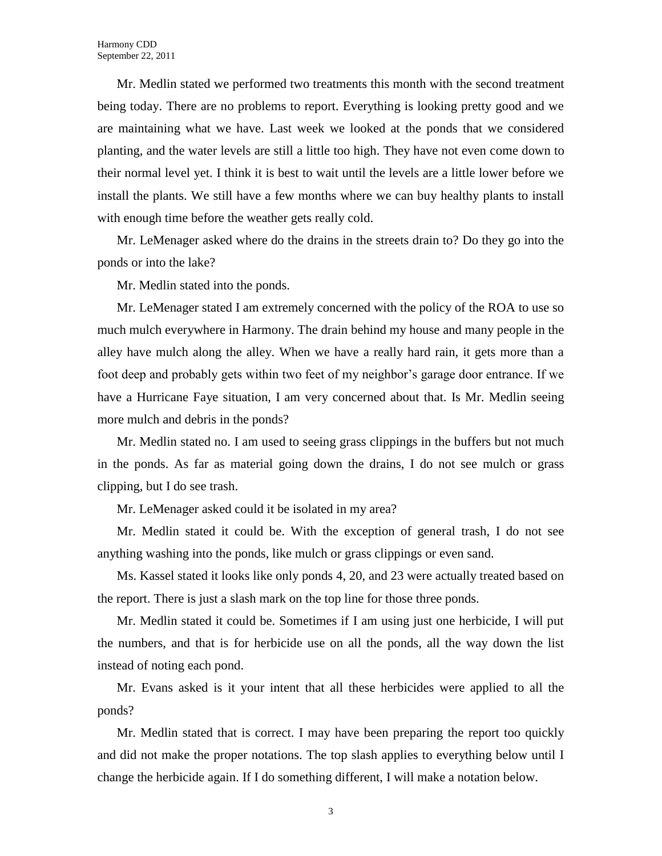Mr. Medlin stated we performed two treatments this month with the second treatment being today. There are no problems to report. Everything is looking pretty good and we are maintaining what we have. Last week we looked at the ponds that we considered planting, and the water levels are still a little too high. They have not even come down to their normal level yet. I think it is best to wait until the levels are a little lower before we install the plants. We still have a few months where we can buy healthy plants to install with enough time before the weather gets really cold.

Mr. LeMenager asked where do the drains in the streets drain to? Do they go into the ponds or into the lake?

Mr. Medlin stated into the ponds.

Mr. LeMenager stated I am extremely concerned with the policy of the ROA to use so much mulch everywhere in Harmony. The drain behind my house and many people in the alley have mulch along the alley. When we have a really hard rain, it gets more than a foot deep and probably gets within two feet of my neighbor's garage door entrance. If we have a Hurricane Faye situation, I am very concerned about that. Is Mr. Medlin seeing more mulch and debris in the ponds?

Mr. Medlin stated no. I am used to seeing grass clippings in the buffers but not much in the ponds. As far as material going down the drains, I do not see mulch or grass clipping, but I do see trash.

Mr. LeMenager asked could it be isolated in my area?

Mr. Medlin stated it could be. With the exception of general trash, I do not see anything washing into the ponds, like mulch or grass clippings or even sand.

Ms. Kassel stated it looks like only ponds 4, 20, and 23 were actually treated based on the report. There is just a slash mark on the top line for those three ponds.

Mr. Medlin stated it could be. Sometimes if I am using just one herbicide, I will put the numbers, and that is for herbicide use on all the ponds, all the way down the list instead of noting each pond.

Mr. Evans asked is it your intent that all these herbicides were applied to all the ponds?

Mr. Medlin stated that is correct. I may have been preparing the report too quickly and did not make the proper notations. The top slash applies to everything below until I change the herbicide again. If I do something different, I will make a notation below.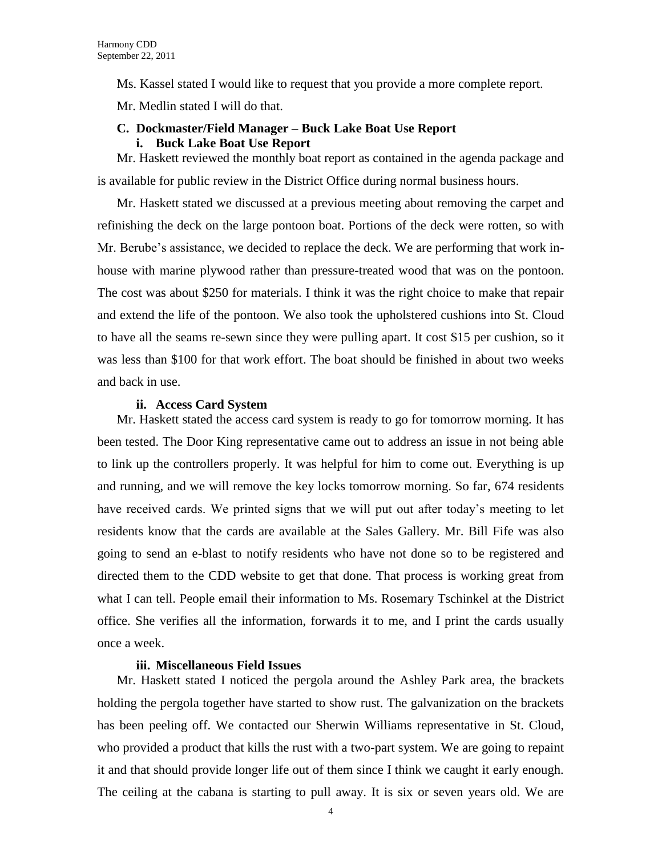Ms. Kassel stated I would like to request that you provide a more complete report.

Mr. Medlin stated I will do that.

#### **C. Dockmaster/Field Manager – Buck Lake Boat Use Report i. Buck Lake Boat Use Report**

Mr. Haskett reviewed the monthly boat report as contained in the agenda package and is available for public review in the District Office during normal business hours.

Mr. Haskett stated we discussed at a previous meeting about removing the carpet and refinishing the deck on the large pontoon boat. Portions of the deck were rotten, so with Mr. Berube's assistance, we decided to replace the deck. We are performing that work inhouse with marine plywood rather than pressure-treated wood that was on the pontoon. The cost was about \$250 for materials. I think it was the right choice to make that repair and extend the life of the pontoon. We also took the upholstered cushions into St. Cloud to have all the seams re-sewn since they were pulling apart. It cost \$15 per cushion, so it was less than \$100 for that work effort. The boat should be finished in about two weeks and back in use.

#### **ii. Access Card System**

Mr. Haskett stated the access card system is ready to go for tomorrow morning. It has been tested. The Door King representative came out to address an issue in not being able to link up the controllers properly. It was helpful for him to come out. Everything is up and running, and we will remove the key locks tomorrow morning. So far, 674 residents have received cards. We printed signs that we will put out after today's meeting to let residents know that the cards are available at the Sales Gallery. Mr. Bill Fife was also going to send an e-blast to notify residents who have not done so to be registered and directed them to the CDD website to get that done. That process is working great from what I can tell. People email their information to Ms. Rosemary Tschinkel at the District office. She verifies all the information, forwards it to me, and I print the cards usually once a week.

#### **iii. Miscellaneous Field Issues**

Mr. Haskett stated I noticed the pergola around the Ashley Park area, the brackets holding the pergola together have started to show rust. The galvanization on the brackets has been peeling off. We contacted our Sherwin Williams representative in St. Cloud, who provided a product that kills the rust with a two-part system. We are going to repaint it and that should provide longer life out of them since I think we caught it early enough. The ceiling at the cabana is starting to pull away. It is six or seven years old. We are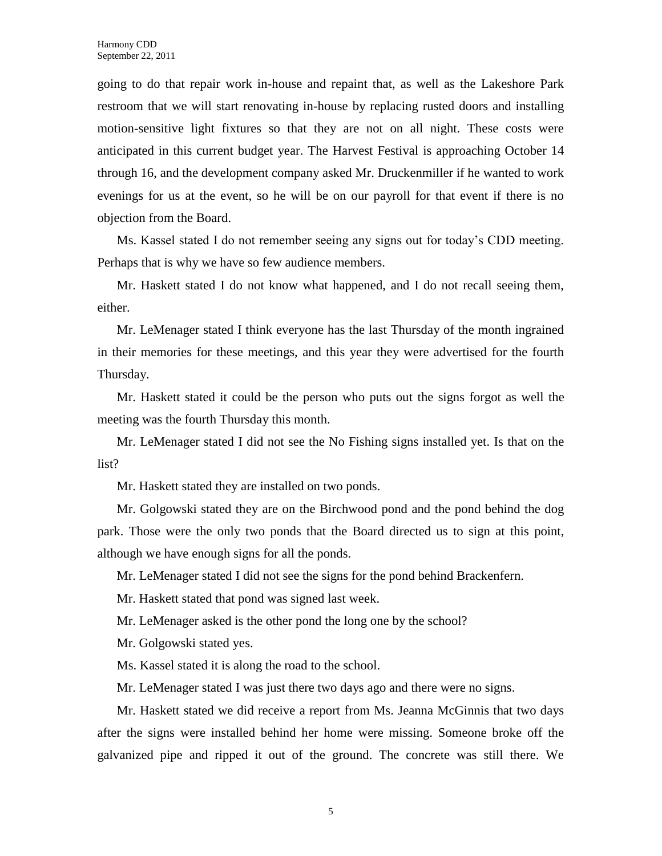going to do that repair work in-house and repaint that, as well as the Lakeshore Park restroom that we will start renovating in-house by replacing rusted doors and installing motion-sensitive light fixtures so that they are not on all night. These costs were anticipated in this current budget year. The Harvest Festival is approaching October 14 through 16, and the development company asked Mr. Druckenmiller if he wanted to work evenings for us at the event, so he will be on our payroll for that event if there is no objection from the Board.

Ms. Kassel stated I do not remember seeing any signs out for today's CDD meeting. Perhaps that is why we have so few audience members.

Mr. Haskett stated I do not know what happened, and I do not recall seeing them, either.

Mr. LeMenager stated I think everyone has the last Thursday of the month ingrained in their memories for these meetings, and this year they were advertised for the fourth Thursday.

Mr. Haskett stated it could be the person who puts out the signs forgot as well the meeting was the fourth Thursday this month.

Mr. LeMenager stated I did not see the No Fishing signs installed yet. Is that on the list?

Mr. Haskett stated they are installed on two ponds.

Mr. Golgowski stated they are on the Birchwood pond and the pond behind the dog park. Those were the only two ponds that the Board directed us to sign at this point, although we have enough signs for all the ponds.

Mr. LeMenager stated I did not see the signs for the pond behind Brackenfern.

Mr. Haskett stated that pond was signed last week.

Mr. LeMenager asked is the other pond the long one by the school?

Mr. Golgowski stated yes.

Ms. Kassel stated it is along the road to the school.

Mr. LeMenager stated I was just there two days ago and there were no signs.

Mr. Haskett stated we did receive a report from Ms. Jeanna McGinnis that two days after the signs were installed behind her home were missing. Someone broke off the galvanized pipe and ripped it out of the ground. The concrete was still there. We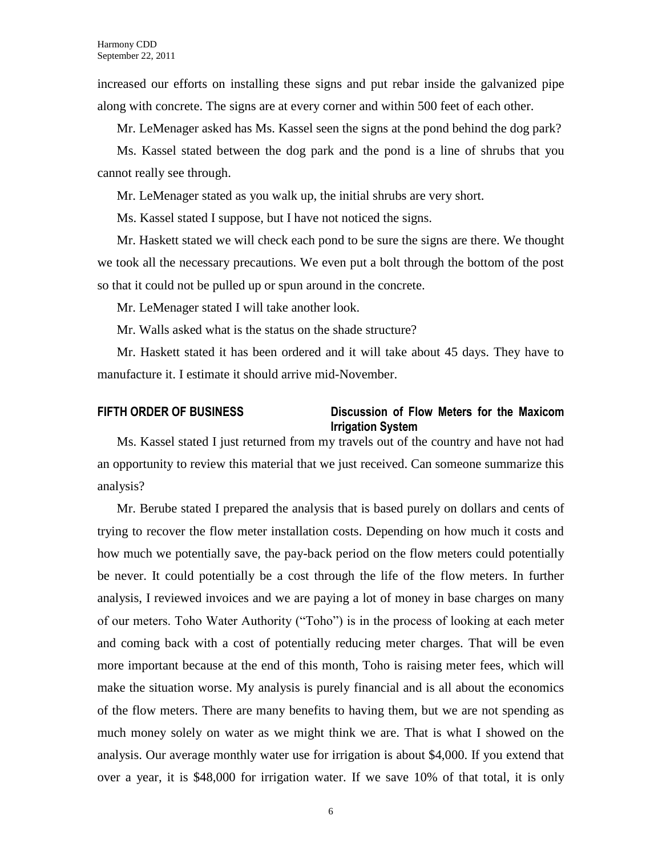increased our efforts on installing these signs and put rebar inside the galvanized pipe along with concrete. The signs are at every corner and within 500 feet of each other.

Mr. LeMenager asked has Ms. Kassel seen the signs at the pond behind the dog park?

Ms. Kassel stated between the dog park and the pond is a line of shrubs that you cannot really see through.

Mr. LeMenager stated as you walk up, the initial shrubs are very short.

Ms. Kassel stated I suppose, but I have not noticed the signs.

Mr. Haskett stated we will check each pond to be sure the signs are there. We thought we took all the necessary precautions. We even put a bolt through the bottom of the post so that it could not be pulled up or spun around in the concrete.

Mr. LeMenager stated I will take another look.

Mr. Walls asked what is the status on the shade structure?

Mr. Haskett stated it has been ordered and it will take about 45 days. They have to manufacture it. I estimate it should arrive mid-November.

#### **FIFTH ORDER OF BUSINESS Discussion of Flow Meters for the Maxicom Irrigation System**

Ms. Kassel stated I just returned from my travels out of the country and have not had an opportunity to review this material that we just received. Can someone summarize this analysis?

Mr. Berube stated I prepared the analysis that is based purely on dollars and cents of trying to recover the flow meter installation costs. Depending on how much it costs and how much we potentially save, the pay-back period on the flow meters could potentially be never. It could potentially be a cost through the life of the flow meters. In further analysis, I reviewed invoices and we are paying a lot of money in base charges on many of our meters. Toho Water Authority ("Toho") is in the process of looking at each meter and coming back with a cost of potentially reducing meter charges. That will be even more important because at the end of this month, Toho is raising meter fees, which will make the situation worse. My analysis is purely financial and is all about the economics of the flow meters. There are many benefits to having them, but we are not spending as much money solely on water as we might think we are. That is what I showed on the analysis. Our average monthly water use for irrigation is about \$4,000. If you extend that over a year, it is \$48,000 for irrigation water. If we save 10% of that total, it is only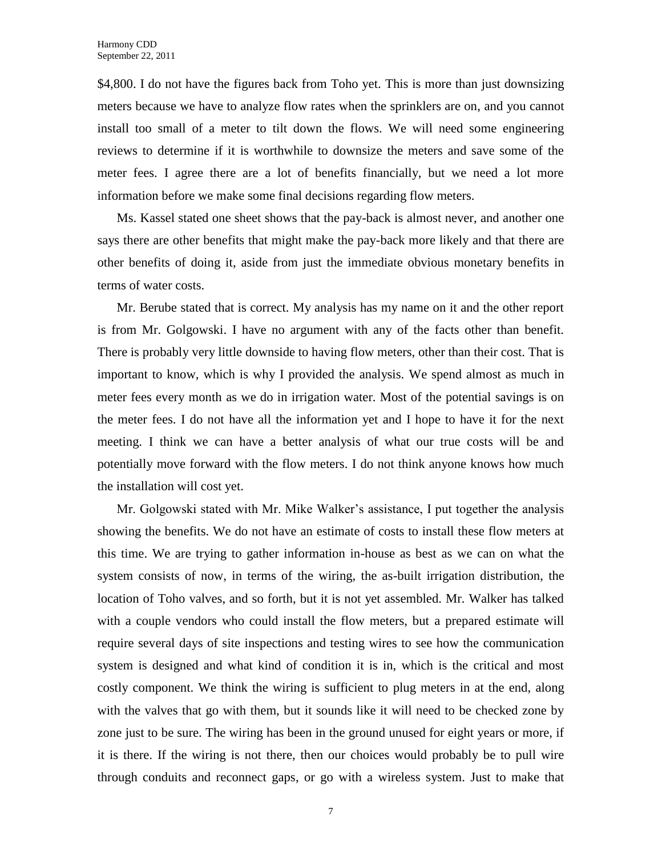\$4,800. I do not have the figures back from Toho yet. This is more than just downsizing meters because we have to analyze flow rates when the sprinklers are on, and you cannot install too small of a meter to tilt down the flows. We will need some engineering reviews to determine if it is worthwhile to downsize the meters and save some of the meter fees. I agree there are a lot of benefits financially, but we need a lot more information before we make some final decisions regarding flow meters.

Ms. Kassel stated one sheet shows that the pay-back is almost never, and another one says there are other benefits that might make the pay-back more likely and that there are other benefits of doing it, aside from just the immediate obvious monetary benefits in terms of water costs.

Mr. Berube stated that is correct. My analysis has my name on it and the other report is from Mr. Golgowski. I have no argument with any of the facts other than benefit. There is probably very little downside to having flow meters, other than their cost. That is important to know, which is why I provided the analysis. We spend almost as much in meter fees every month as we do in irrigation water. Most of the potential savings is on the meter fees. I do not have all the information yet and I hope to have it for the next meeting. I think we can have a better analysis of what our true costs will be and potentially move forward with the flow meters. I do not think anyone knows how much the installation will cost yet.

Mr. Golgowski stated with Mr. Mike Walker's assistance, I put together the analysis showing the benefits. We do not have an estimate of costs to install these flow meters at this time. We are trying to gather information in-house as best as we can on what the system consists of now, in terms of the wiring, the as-built irrigation distribution, the location of Toho valves, and so forth, but it is not yet assembled. Mr. Walker has talked with a couple vendors who could install the flow meters, but a prepared estimate will require several days of site inspections and testing wires to see how the communication system is designed and what kind of condition it is in, which is the critical and most costly component. We think the wiring is sufficient to plug meters in at the end, along with the valves that go with them, but it sounds like it will need to be checked zone by zone just to be sure. The wiring has been in the ground unused for eight years or more, if it is there. If the wiring is not there, then our choices would probably be to pull wire through conduits and reconnect gaps, or go with a wireless system. Just to make that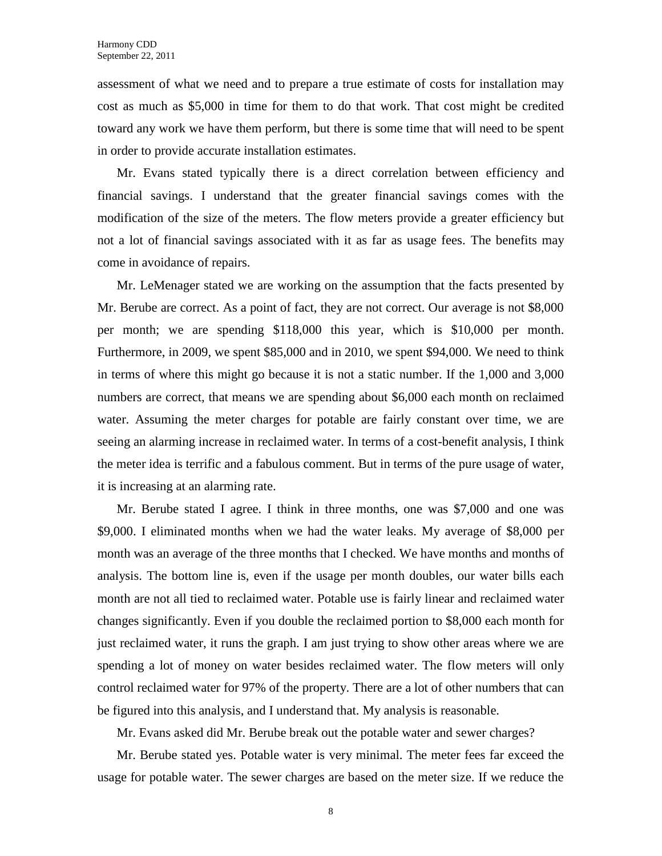assessment of what we need and to prepare a true estimate of costs for installation may cost as much as \$5,000 in time for them to do that work. That cost might be credited toward any work we have them perform, but there is some time that will need to be spent in order to provide accurate installation estimates.

Mr. Evans stated typically there is a direct correlation between efficiency and financial savings. I understand that the greater financial savings comes with the modification of the size of the meters. The flow meters provide a greater efficiency but not a lot of financial savings associated with it as far as usage fees. The benefits may come in avoidance of repairs.

Mr. LeMenager stated we are working on the assumption that the facts presented by Mr. Berube are correct. As a point of fact, they are not correct. Our average is not \$8,000 per month; we are spending \$118,000 this year, which is \$10,000 per month. Furthermore, in 2009, we spent \$85,000 and in 2010, we spent \$94,000. We need to think in terms of where this might go because it is not a static number. If the 1,000 and 3,000 numbers are correct, that means we are spending about \$6,000 each month on reclaimed water. Assuming the meter charges for potable are fairly constant over time, we are seeing an alarming increase in reclaimed water. In terms of a cost-benefit analysis, I think the meter idea is terrific and a fabulous comment. But in terms of the pure usage of water, it is increasing at an alarming rate.

Mr. Berube stated I agree. I think in three months, one was \$7,000 and one was \$9,000. I eliminated months when we had the water leaks. My average of \$8,000 per month was an average of the three months that I checked. We have months and months of analysis. The bottom line is, even if the usage per month doubles, our water bills each month are not all tied to reclaimed water. Potable use is fairly linear and reclaimed water changes significantly. Even if you double the reclaimed portion to \$8,000 each month for just reclaimed water, it runs the graph. I am just trying to show other areas where we are spending a lot of money on water besides reclaimed water. The flow meters will only control reclaimed water for 97% of the property. There are a lot of other numbers that can be figured into this analysis, and I understand that. My analysis is reasonable.

Mr. Evans asked did Mr. Berube break out the potable water and sewer charges?

Mr. Berube stated yes. Potable water is very minimal. The meter fees far exceed the usage for potable water. The sewer charges are based on the meter size. If we reduce the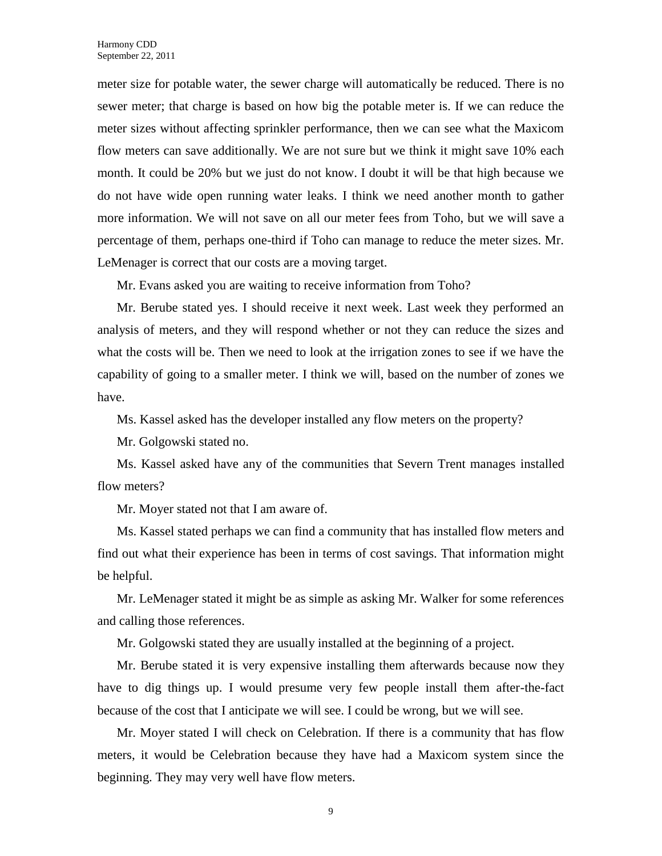meter size for potable water, the sewer charge will automatically be reduced. There is no sewer meter; that charge is based on how big the potable meter is. If we can reduce the meter sizes without affecting sprinkler performance, then we can see what the Maxicom flow meters can save additionally. We are not sure but we think it might save 10% each month. It could be 20% but we just do not know. I doubt it will be that high because we do not have wide open running water leaks. I think we need another month to gather more information. We will not save on all our meter fees from Toho, but we will save a percentage of them, perhaps one-third if Toho can manage to reduce the meter sizes. Mr. LeMenager is correct that our costs are a moving target.

Mr. Evans asked you are waiting to receive information from Toho?

Mr. Berube stated yes. I should receive it next week. Last week they performed an analysis of meters, and they will respond whether or not they can reduce the sizes and what the costs will be. Then we need to look at the irrigation zones to see if we have the capability of going to a smaller meter. I think we will, based on the number of zones we have.

Ms. Kassel asked has the developer installed any flow meters on the property?

Mr. Golgowski stated no.

Ms. Kassel asked have any of the communities that Severn Trent manages installed flow meters?

Mr. Moyer stated not that I am aware of.

Ms. Kassel stated perhaps we can find a community that has installed flow meters and find out what their experience has been in terms of cost savings. That information might be helpful.

Mr. LeMenager stated it might be as simple as asking Mr. Walker for some references and calling those references.

Mr. Golgowski stated they are usually installed at the beginning of a project.

Mr. Berube stated it is very expensive installing them afterwards because now they have to dig things up. I would presume very few people install them after-the-fact because of the cost that I anticipate we will see. I could be wrong, but we will see.

Mr. Moyer stated I will check on Celebration. If there is a community that has flow meters, it would be Celebration because they have had a Maxicom system since the beginning. They may very well have flow meters.

9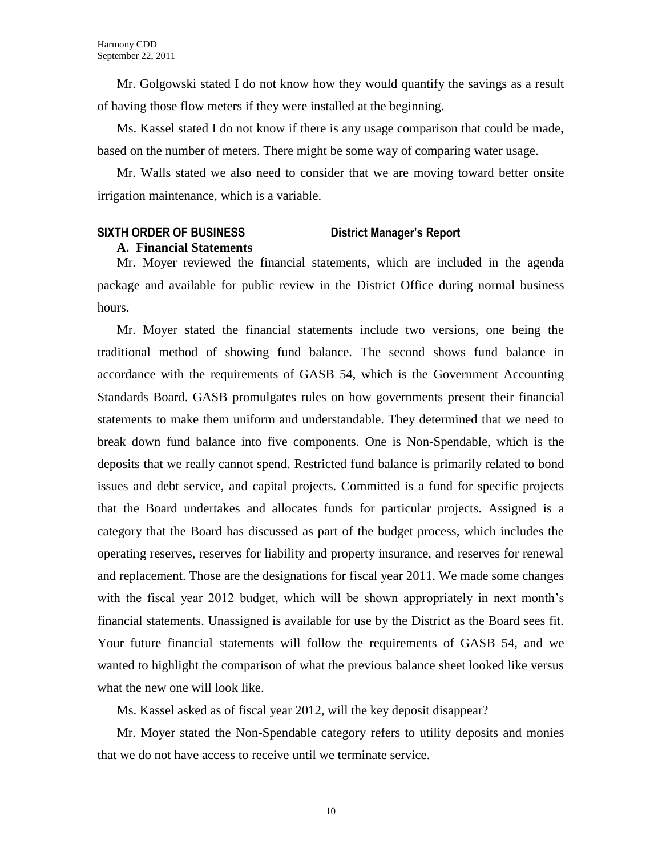Mr. Golgowski stated I do not know how they would quantify the savings as a result of having those flow meters if they were installed at the beginning.

Ms. Kassel stated I do not know if there is any usage comparison that could be made, based on the number of meters. There might be some way of comparing water usage.

Mr. Walls stated we also need to consider that we are moving toward better onsite irrigation maintenance, which is a variable.

#### **SIXTH ORDER OF BUSINESS District Manager's Report**

#### **A. Financial Statements**

Mr. Moyer reviewed the financial statements, which are included in the agenda package and available for public review in the District Office during normal business hours.

Mr. Moyer stated the financial statements include two versions, one being the traditional method of showing fund balance. The second shows fund balance in accordance with the requirements of GASB 54, which is the Government Accounting Standards Board. GASB promulgates rules on how governments present their financial statements to make them uniform and understandable. They determined that we need to break down fund balance into five components. One is Non-Spendable, which is the deposits that we really cannot spend. Restricted fund balance is primarily related to bond issues and debt service, and capital projects. Committed is a fund for specific projects that the Board undertakes and allocates funds for particular projects. Assigned is a category that the Board has discussed as part of the budget process, which includes the operating reserves, reserves for liability and property insurance, and reserves for renewal and replacement. Those are the designations for fiscal year 2011. We made some changes with the fiscal year 2012 budget, which will be shown appropriately in next month's financial statements. Unassigned is available for use by the District as the Board sees fit. Your future financial statements will follow the requirements of GASB 54, and we wanted to highlight the comparison of what the previous balance sheet looked like versus what the new one will look like.

Ms. Kassel asked as of fiscal year 2012, will the key deposit disappear?

Mr. Moyer stated the Non-Spendable category refers to utility deposits and monies that we do not have access to receive until we terminate service.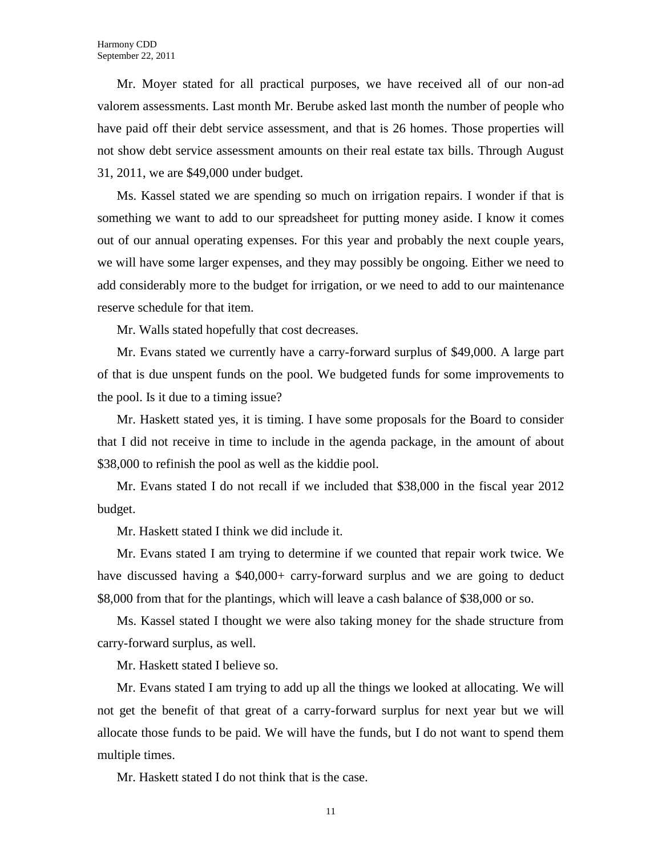Mr. Moyer stated for all practical purposes, we have received all of our non-ad valorem assessments. Last month Mr. Berube asked last month the number of people who have paid off their debt service assessment, and that is 26 homes. Those properties will not show debt service assessment amounts on their real estate tax bills. Through August 31, 2011, we are \$49,000 under budget.

Ms. Kassel stated we are spending so much on irrigation repairs. I wonder if that is something we want to add to our spreadsheet for putting money aside. I know it comes out of our annual operating expenses. For this year and probably the next couple years, we will have some larger expenses, and they may possibly be ongoing. Either we need to add considerably more to the budget for irrigation, or we need to add to our maintenance reserve schedule for that item.

Mr. Walls stated hopefully that cost decreases.

Mr. Evans stated we currently have a carry-forward surplus of \$49,000. A large part of that is due unspent funds on the pool. We budgeted funds for some improvements to the pool. Is it due to a timing issue?

Mr. Haskett stated yes, it is timing. I have some proposals for the Board to consider that I did not receive in time to include in the agenda package, in the amount of about \$38,000 to refinish the pool as well as the kiddie pool.

Mr. Evans stated I do not recall if we included that \$38,000 in the fiscal year 2012 budget.

Mr. Haskett stated I think we did include it.

Mr. Evans stated I am trying to determine if we counted that repair work twice. We have discussed having a \$40,000+ carry-forward surplus and we are going to deduct \$8,000 from that for the plantings, which will leave a cash balance of \$38,000 or so.

Ms. Kassel stated I thought we were also taking money for the shade structure from carry-forward surplus, as well.

Mr. Haskett stated I believe so.

Mr. Evans stated I am trying to add up all the things we looked at allocating. We will not get the benefit of that great of a carry-forward surplus for next year but we will allocate those funds to be paid. We will have the funds, but I do not want to spend them multiple times.

Mr. Haskett stated I do not think that is the case.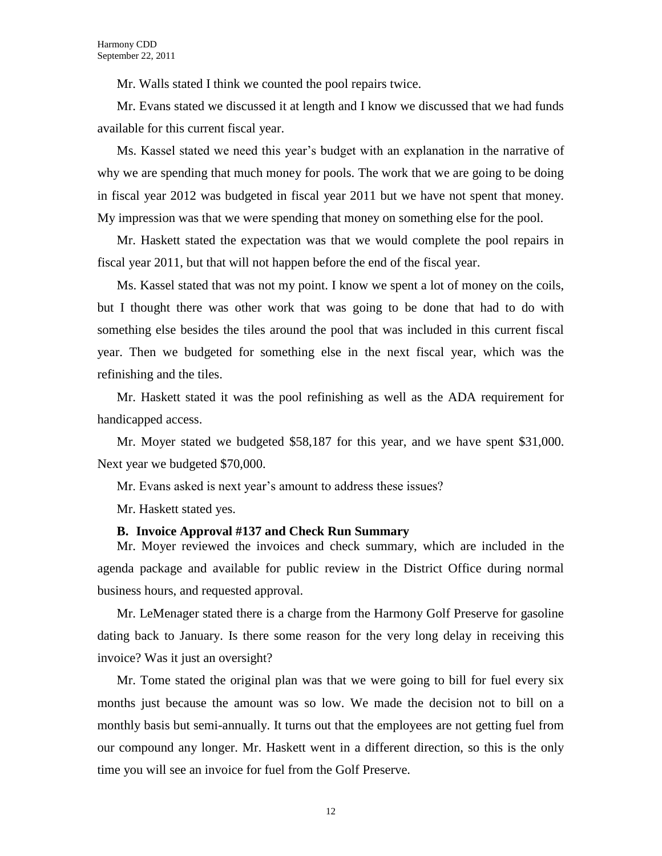Mr. Walls stated I think we counted the pool repairs twice.

Mr. Evans stated we discussed it at length and I know we discussed that we had funds available for this current fiscal year.

Ms. Kassel stated we need this year's budget with an explanation in the narrative of why we are spending that much money for pools. The work that we are going to be doing in fiscal year 2012 was budgeted in fiscal year 2011 but we have not spent that money. My impression was that we were spending that money on something else for the pool.

Mr. Haskett stated the expectation was that we would complete the pool repairs in fiscal year 2011, but that will not happen before the end of the fiscal year.

Ms. Kassel stated that was not my point. I know we spent a lot of money on the coils, but I thought there was other work that was going to be done that had to do with something else besides the tiles around the pool that was included in this current fiscal year. Then we budgeted for something else in the next fiscal year, which was the refinishing and the tiles.

Mr. Haskett stated it was the pool refinishing as well as the ADA requirement for handicapped access.

Mr. Moyer stated we budgeted \$58,187 for this year, and we have spent \$31,000. Next year we budgeted \$70,000.

Mr. Evans asked is next year's amount to address these issues?

Mr. Haskett stated yes.

#### **B. Invoice Approval #137 and Check Run Summary**

Mr. Moyer reviewed the invoices and check summary, which are included in the agenda package and available for public review in the District Office during normal business hours, and requested approval.

Mr. LeMenager stated there is a charge from the Harmony Golf Preserve for gasoline dating back to January. Is there some reason for the very long delay in receiving this invoice? Was it just an oversight?

Mr. Tome stated the original plan was that we were going to bill for fuel every six months just because the amount was so low. We made the decision not to bill on a monthly basis but semi-annually. It turns out that the employees are not getting fuel from our compound any longer. Mr. Haskett went in a different direction, so this is the only time you will see an invoice for fuel from the Golf Preserve.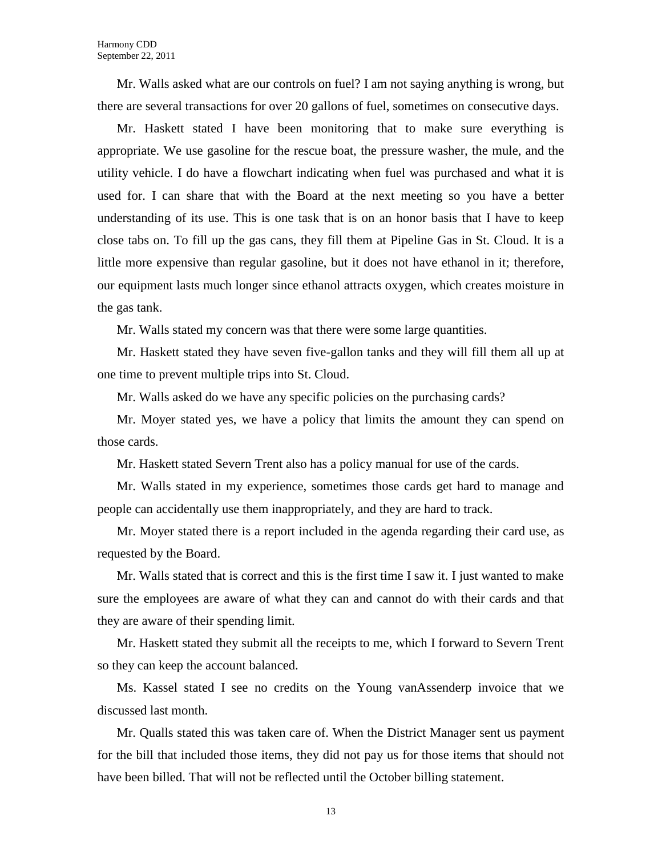Mr. Walls asked what are our controls on fuel? I am not saying anything is wrong, but there are several transactions for over 20 gallons of fuel, sometimes on consecutive days.

Mr. Haskett stated I have been monitoring that to make sure everything is appropriate. We use gasoline for the rescue boat, the pressure washer, the mule, and the utility vehicle. I do have a flowchart indicating when fuel was purchased and what it is used for. I can share that with the Board at the next meeting so you have a better understanding of its use. This is one task that is on an honor basis that I have to keep close tabs on. To fill up the gas cans, they fill them at Pipeline Gas in St. Cloud. It is a little more expensive than regular gasoline, but it does not have ethanol in it; therefore, our equipment lasts much longer since ethanol attracts oxygen, which creates moisture in the gas tank.

Mr. Walls stated my concern was that there were some large quantities.

Mr. Haskett stated they have seven five-gallon tanks and they will fill them all up at one time to prevent multiple trips into St. Cloud.

Mr. Walls asked do we have any specific policies on the purchasing cards?

Mr. Moyer stated yes, we have a policy that limits the amount they can spend on those cards.

Mr. Haskett stated Severn Trent also has a policy manual for use of the cards.

Mr. Walls stated in my experience, sometimes those cards get hard to manage and people can accidentally use them inappropriately, and they are hard to track.

Mr. Moyer stated there is a report included in the agenda regarding their card use, as requested by the Board.

Mr. Walls stated that is correct and this is the first time I saw it. I just wanted to make sure the employees are aware of what they can and cannot do with their cards and that they are aware of their spending limit.

Mr. Haskett stated they submit all the receipts to me, which I forward to Severn Trent so they can keep the account balanced.

Ms. Kassel stated I see no credits on the Young vanAssenderp invoice that we discussed last month.

Mr. Qualls stated this was taken care of. When the District Manager sent us payment for the bill that included those items, they did not pay us for those items that should not have been billed. That will not be reflected until the October billing statement.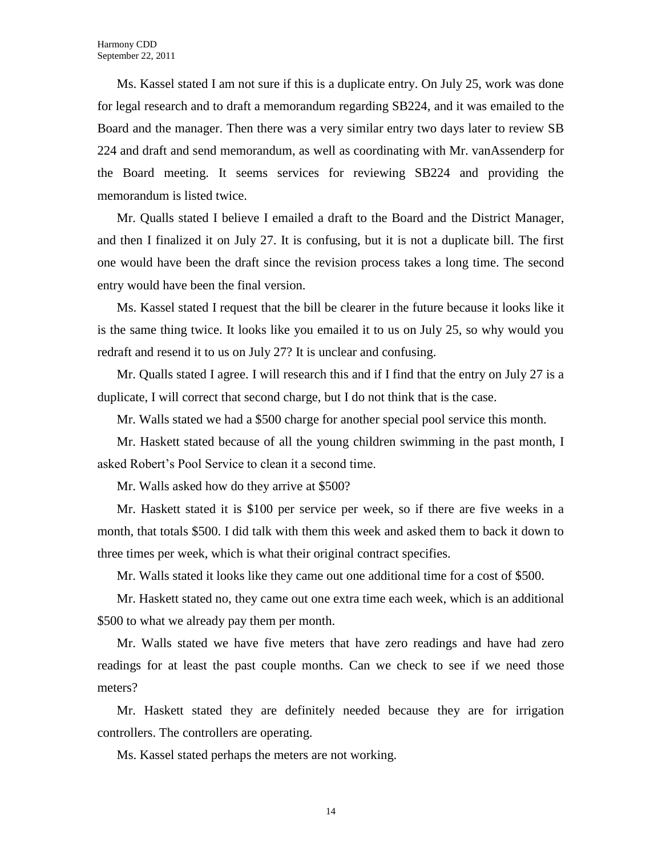Ms. Kassel stated I am not sure if this is a duplicate entry. On July 25, work was done for legal research and to draft a memorandum regarding SB224, and it was emailed to the Board and the manager. Then there was a very similar entry two days later to review SB 224 and draft and send memorandum, as well as coordinating with Mr. vanAssenderp for the Board meeting. It seems services for reviewing SB224 and providing the memorandum is listed twice.

Mr. Qualls stated I believe I emailed a draft to the Board and the District Manager, and then I finalized it on July 27. It is confusing, but it is not a duplicate bill. The first one would have been the draft since the revision process takes a long time. The second entry would have been the final version.

Ms. Kassel stated I request that the bill be clearer in the future because it looks like it is the same thing twice. It looks like you emailed it to us on July 25, so why would you redraft and resend it to us on July 27? It is unclear and confusing.

Mr. Qualls stated I agree. I will research this and if I find that the entry on July 27 is a duplicate, I will correct that second charge, but I do not think that is the case.

Mr. Walls stated we had a \$500 charge for another special pool service this month.

Mr. Haskett stated because of all the young children swimming in the past month, I asked Robert's Pool Service to clean it a second time.

Mr. Walls asked how do they arrive at \$500?

Mr. Haskett stated it is \$100 per service per week, so if there are five weeks in a month, that totals \$500. I did talk with them this week and asked them to back it down to three times per week, which is what their original contract specifies.

Mr. Walls stated it looks like they came out one additional time for a cost of \$500.

Mr. Haskett stated no, they came out one extra time each week, which is an additional \$500 to what we already pay them per month.

Mr. Walls stated we have five meters that have zero readings and have had zero readings for at least the past couple months. Can we check to see if we need those meters?

Mr. Haskett stated they are definitely needed because they are for irrigation controllers. The controllers are operating.

Ms. Kassel stated perhaps the meters are not working.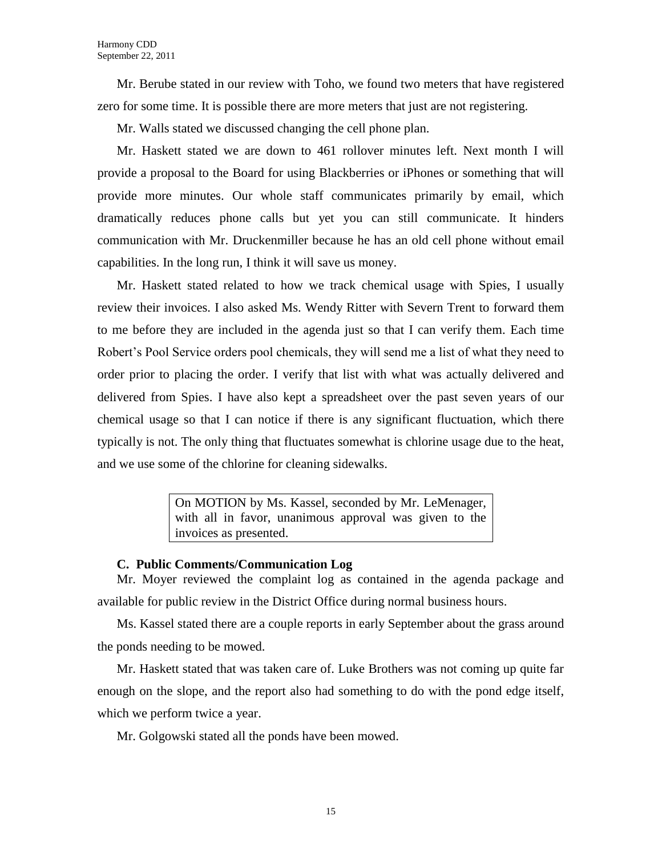Mr. Berube stated in our review with Toho, we found two meters that have registered zero for some time. It is possible there are more meters that just are not registering.

Mr. Walls stated we discussed changing the cell phone plan.

Mr. Haskett stated we are down to 461 rollover minutes left. Next month I will provide a proposal to the Board for using Blackberries or iPhones or something that will provide more minutes. Our whole staff communicates primarily by email, which dramatically reduces phone calls but yet you can still communicate. It hinders communication with Mr. Druckenmiller because he has an old cell phone without email capabilities. In the long run, I think it will save us money.

Mr. Haskett stated related to how we track chemical usage with Spies, I usually review their invoices. I also asked Ms. Wendy Ritter with Severn Trent to forward them to me before they are included in the agenda just so that I can verify them. Each time Robert's Pool Service orders pool chemicals, they will send me a list of what they need to order prior to placing the order. I verify that list with what was actually delivered and delivered from Spies. I have also kept a spreadsheet over the past seven years of our chemical usage so that I can notice if there is any significant fluctuation, which there typically is not. The only thing that fluctuates somewhat is chlorine usage due to the heat, and we use some of the chlorine for cleaning sidewalks.

> On MOTION by Ms. Kassel, seconded by Mr. LeMenager, with all in favor, unanimous approval was given to the invoices as presented.

#### **C. Public Comments/Communication Log**

Mr. Moyer reviewed the complaint log as contained in the agenda package and available for public review in the District Office during normal business hours.

Ms. Kassel stated there are a couple reports in early September about the grass around the ponds needing to be mowed.

Mr. Haskett stated that was taken care of. Luke Brothers was not coming up quite far enough on the slope, and the report also had something to do with the pond edge itself, which we perform twice a year.

Mr. Golgowski stated all the ponds have been mowed.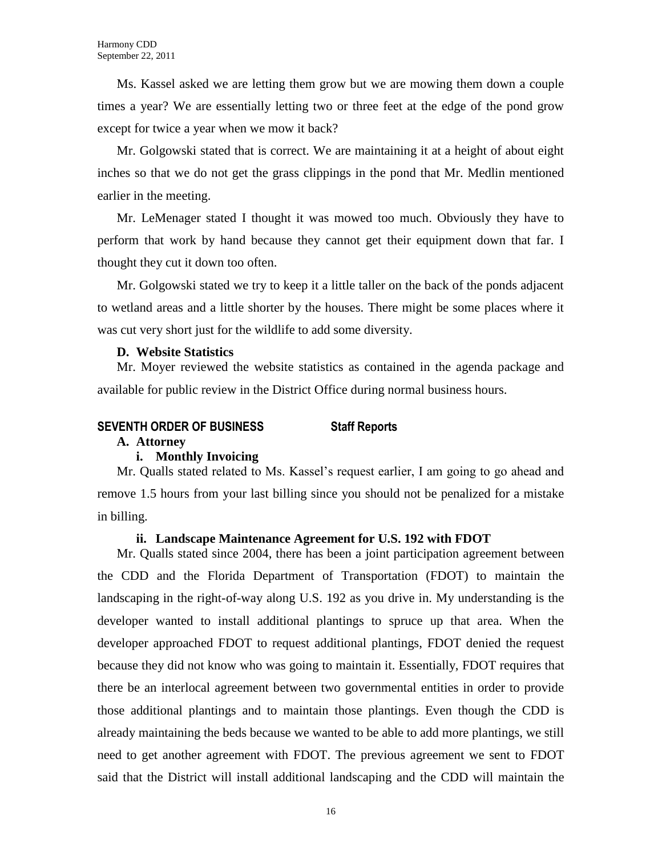Ms. Kassel asked we are letting them grow but we are mowing them down a couple times a year? We are essentially letting two or three feet at the edge of the pond grow except for twice a year when we mow it back?

Mr. Golgowski stated that is correct. We are maintaining it at a height of about eight inches so that we do not get the grass clippings in the pond that Mr. Medlin mentioned earlier in the meeting.

Mr. LeMenager stated I thought it was mowed too much. Obviously they have to perform that work by hand because they cannot get their equipment down that far. I thought they cut it down too often.

Mr. Golgowski stated we try to keep it a little taller on the back of the ponds adjacent to wetland areas and a little shorter by the houses. There might be some places where it was cut very short just for the wildlife to add some diversity.

#### **D. Website Statistics**

Mr. Moyer reviewed the website statistics as contained in the agenda package and available for public review in the District Office during normal business hours.

#### **SEVENTH ORDER OF BUSINESS Staff Reports**

#### **A. Attorney**

#### **i. Monthly Invoicing**

Mr. Qualls stated related to Ms. Kassel's request earlier, I am going to go ahead and remove 1.5 hours from your last billing since you should not be penalized for a mistake in billing.

#### **ii. Landscape Maintenance Agreement for U.S. 192 with FDOT**

Mr. Qualls stated since 2004, there has been a joint participation agreement between the CDD and the Florida Department of Transportation (FDOT) to maintain the landscaping in the right-of-way along U.S. 192 as you drive in. My understanding is the developer wanted to install additional plantings to spruce up that area. When the developer approached FDOT to request additional plantings, FDOT denied the request because they did not know who was going to maintain it. Essentially, FDOT requires that there be an interlocal agreement between two governmental entities in order to provide those additional plantings and to maintain those plantings. Even though the CDD is already maintaining the beds because we wanted to be able to add more plantings, we still need to get another agreement with FDOT. The previous agreement we sent to FDOT said that the District will install additional landscaping and the CDD will maintain the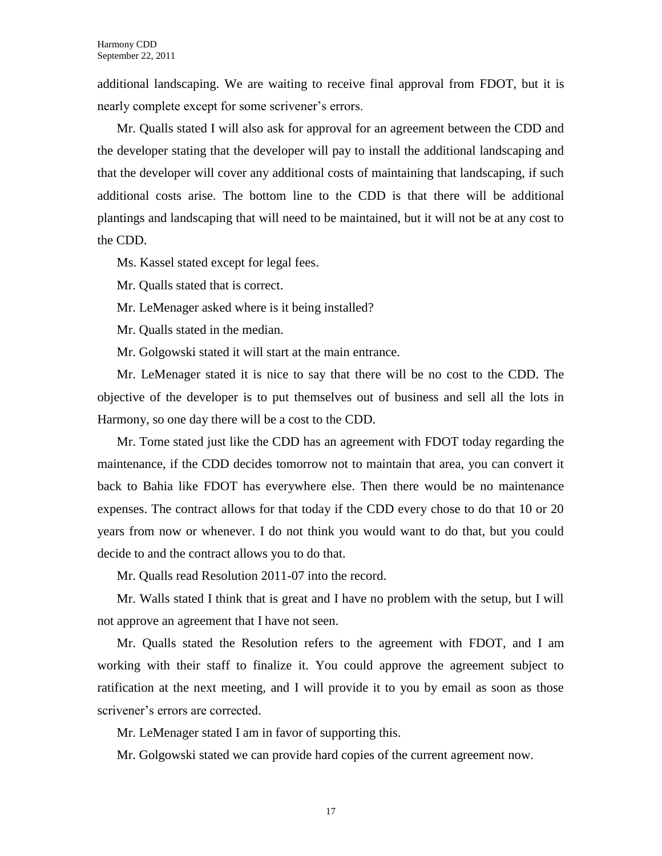additional landscaping. We are waiting to receive final approval from FDOT, but it is nearly complete except for some scrivener's errors.

Mr. Qualls stated I will also ask for approval for an agreement between the CDD and the developer stating that the developer will pay to install the additional landscaping and that the developer will cover any additional costs of maintaining that landscaping, if such additional costs arise. The bottom line to the CDD is that there will be additional plantings and landscaping that will need to be maintained, but it will not be at any cost to the CDD.

Ms. Kassel stated except for legal fees.

Mr. Qualls stated that is correct.

Mr. LeMenager asked where is it being installed?

Mr. Qualls stated in the median.

Mr. Golgowski stated it will start at the main entrance.

Mr. LeMenager stated it is nice to say that there will be no cost to the CDD. The objective of the developer is to put themselves out of business and sell all the lots in Harmony, so one day there will be a cost to the CDD.

Mr. Tome stated just like the CDD has an agreement with FDOT today regarding the maintenance, if the CDD decides tomorrow not to maintain that area, you can convert it back to Bahia like FDOT has everywhere else. Then there would be no maintenance expenses. The contract allows for that today if the CDD every chose to do that 10 or 20 years from now or whenever. I do not think you would want to do that, but you could decide to and the contract allows you to do that.

Mr. Qualls read Resolution 2011-07 into the record.

Mr. Walls stated I think that is great and I have no problem with the setup, but I will not approve an agreement that I have not seen.

Mr. Qualls stated the Resolution refers to the agreement with FDOT, and I am working with their staff to finalize it. You could approve the agreement subject to ratification at the next meeting, and I will provide it to you by email as soon as those scrivener's errors are corrected.

Mr. LeMenager stated I am in favor of supporting this.

Mr. Golgowski stated we can provide hard copies of the current agreement now.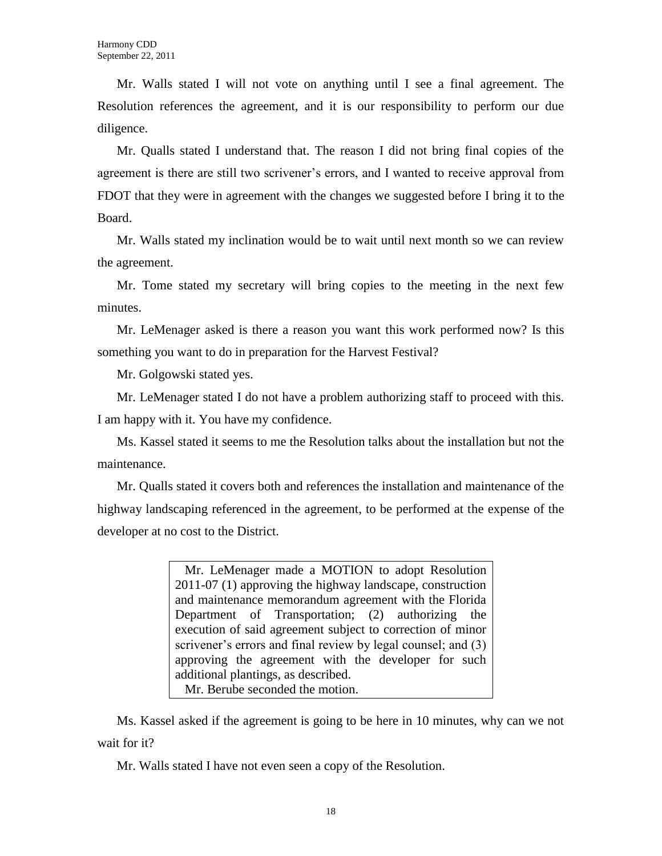Mr. Walls stated I will not vote on anything until I see a final agreement. The Resolution references the agreement, and it is our responsibility to perform our due diligence.

Mr. Qualls stated I understand that. The reason I did not bring final copies of the agreement is there are still two scrivener's errors, and I wanted to receive approval from FDOT that they were in agreement with the changes we suggested before I bring it to the Board.

Mr. Walls stated my inclination would be to wait until next month so we can review the agreement.

Mr. Tome stated my secretary will bring copies to the meeting in the next few minutes.

Mr. LeMenager asked is there a reason you want this work performed now? Is this something you want to do in preparation for the Harvest Festival?

Mr. Golgowski stated yes.

Mr. LeMenager stated I do not have a problem authorizing staff to proceed with this. I am happy with it. You have my confidence.

Ms. Kassel stated it seems to me the Resolution talks about the installation but not the maintenance.

Mr. Qualls stated it covers both and references the installation and maintenance of the highway landscaping referenced in the agreement, to be performed at the expense of the developer at no cost to the District.

> Mr. LeMenager made a MOTION to adopt Resolution 2011-07 (1) approving the highway landscape, construction and maintenance memorandum agreement with the Florida Department of Transportation; (2) authorizing the execution of said agreement subject to correction of minor scrivener's errors and final review by legal counsel; and (3) approving the agreement with the developer for such additional plantings, as described. Mr. Berube seconded the motion.

Ms. Kassel asked if the agreement is going to be here in 10 minutes, why can we not wait for it?

Mr. Walls stated I have not even seen a copy of the Resolution.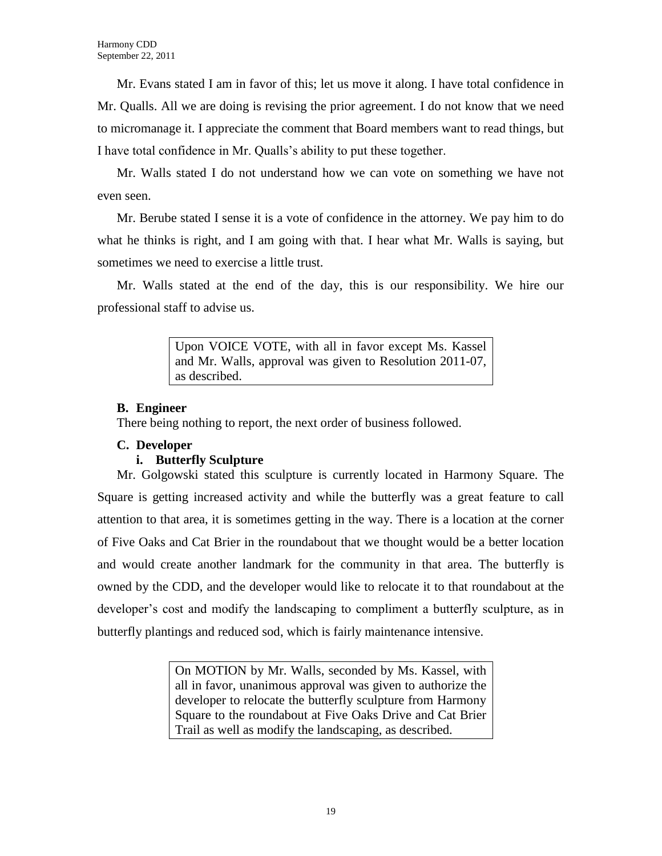Mr. Evans stated I am in favor of this; let us move it along. I have total confidence in Mr. Qualls. All we are doing is revising the prior agreement. I do not know that we need to micromanage it. I appreciate the comment that Board members want to read things, but I have total confidence in Mr. Qualls's ability to put these together.

Mr. Walls stated I do not understand how we can vote on something we have not even seen.

Mr. Berube stated I sense it is a vote of confidence in the attorney. We pay him to do what he thinks is right, and I am going with that. I hear what Mr. Walls is saying, but sometimes we need to exercise a little trust.

Mr. Walls stated at the end of the day, this is our responsibility. We hire our professional staff to advise us.

> Upon VOICE VOTE, with all in favor except Ms. Kassel and Mr. Walls, approval was given to Resolution 2011-07, as described.

#### **B. Engineer**

There being nothing to report, the next order of business followed.

### **C. Developer**

### **i. Butterfly Sculpture**

Mr. Golgowski stated this sculpture is currently located in Harmony Square. The Square is getting increased activity and while the butterfly was a great feature to call attention to that area, it is sometimes getting in the way. There is a location at the corner of Five Oaks and Cat Brier in the roundabout that we thought would be a better location and would create another landmark for the community in that area. The butterfly is owned by the CDD, and the developer would like to relocate it to that roundabout at the developer's cost and modify the landscaping to compliment a butterfly sculpture, as in butterfly plantings and reduced sod, which is fairly maintenance intensive.

> On MOTION by Mr. Walls, seconded by Ms. Kassel, with all in favor, unanimous approval was given to authorize the developer to relocate the butterfly sculpture from Harmony Square to the roundabout at Five Oaks Drive and Cat Brier Trail as well as modify the landscaping, as described.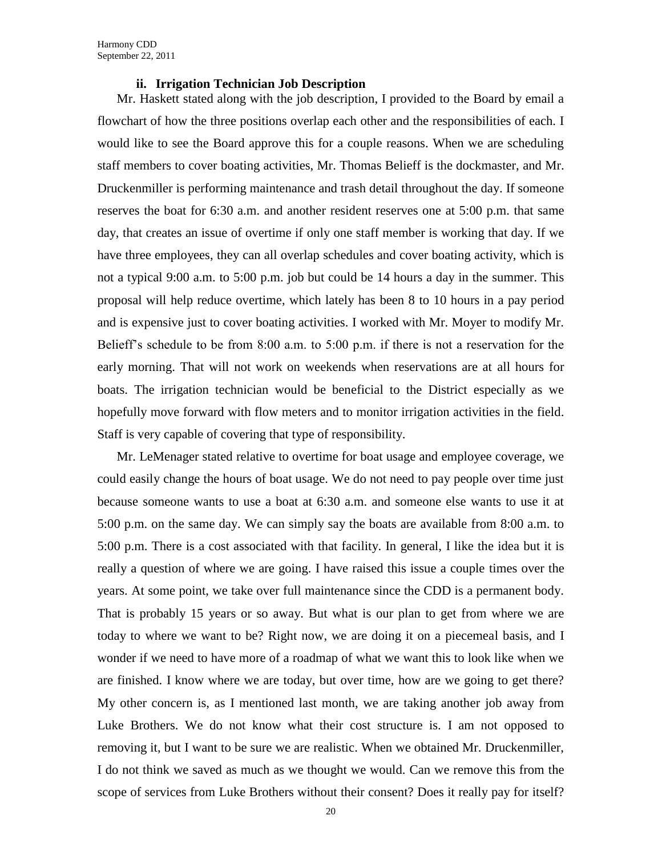#### **ii. Irrigation Technician Job Description**

Mr. Haskett stated along with the job description, I provided to the Board by email a flowchart of how the three positions overlap each other and the responsibilities of each. I would like to see the Board approve this for a couple reasons. When we are scheduling staff members to cover boating activities, Mr. Thomas Belieff is the dockmaster, and Mr. Druckenmiller is performing maintenance and trash detail throughout the day. If someone reserves the boat for 6:30 a.m. and another resident reserves one at 5:00 p.m. that same day, that creates an issue of overtime if only one staff member is working that day. If we have three employees, they can all overlap schedules and cover boating activity, which is not a typical 9:00 a.m. to 5:00 p.m. job but could be 14 hours a day in the summer. This proposal will help reduce overtime, which lately has been 8 to 10 hours in a pay period and is expensive just to cover boating activities. I worked with Mr. Moyer to modify Mr. Belieff's schedule to be from 8:00 a.m. to 5:00 p.m. if there is not a reservation for the early morning. That will not work on weekends when reservations are at all hours for boats. The irrigation technician would be beneficial to the District especially as we hopefully move forward with flow meters and to monitor irrigation activities in the field. Staff is very capable of covering that type of responsibility.

Mr. LeMenager stated relative to overtime for boat usage and employee coverage, we could easily change the hours of boat usage. We do not need to pay people over time just because someone wants to use a boat at 6:30 a.m. and someone else wants to use it at 5:00 p.m. on the same day. We can simply say the boats are available from 8:00 a.m. to 5:00 p.m. There is a cost associated with that facility. In general, I like the idea but it is really a question of where we are going. I have raised this issue a couple times over the years. At some point, we take over full maintenance since the CDD is a permanent body. That is probably 15 years or so away. But what is our plan to get from where we are today to where we want to be? Right now, we are doing it on a piecemeal basis, and I wonder if we need to have more of a roadmap of what we want this to look like when we are finished. I know where we are today, but over time, how are we going to get there? My other concern is, as I mentioned last month, we are taking another job away from Luke Brothers. We do not know what their cost structure is. I am not opposed to removing it, but I want to be sure we are realistic. When we obtained Mr. Druckenmiller, I do not think we saved as much as we thought we would. Can we remove this from the scope of services from Luke Brothers without their consent? Does it really pay for itself?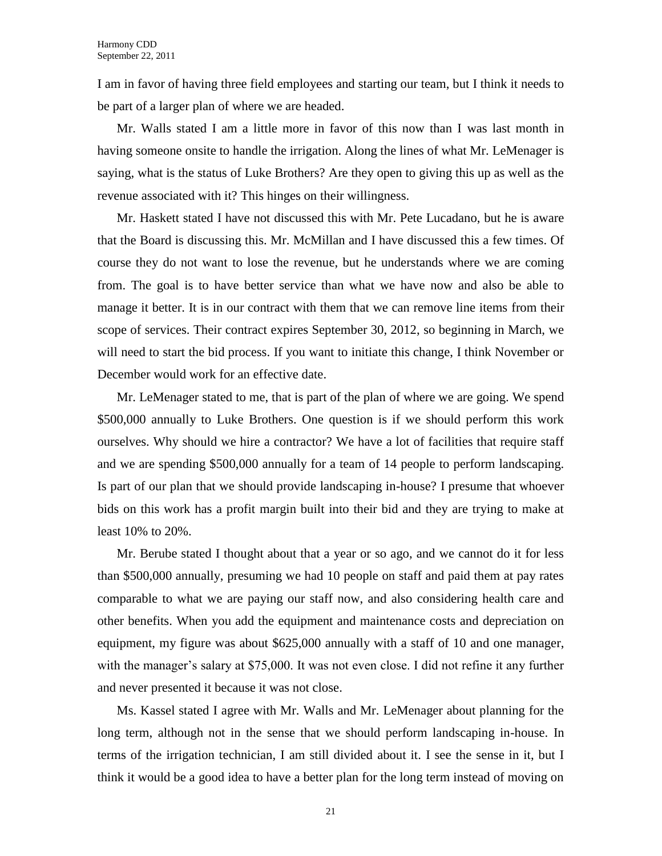I am in favor of having three field employees and starting our team, but I think it needs to be part of a larger plan of where we are headed.

Mr. Walls stated I am a little more in favor of this now than I was last month in having someone onsite to handle the irrigation. Along the lines of what Mr. LeMenager is saying, what is the status of Luke Brothers? Are they open to giving this up as well as the revenue associated with it? This hinges on their willingness.

Mr. Haskett stated I have not discussed this with Mr. Pete Lucadano, but he is aware that the Board is discussing this. Mr. McMillan and I have discussed this a few times. Of course they do not want to lose the revenue, but he understands where we are coming from. The goal is to have better service than what we have now and also be able to manage it better. It is in our contract with them that we can remove line items from their scope of services. Their contract expires September 30, 2012, so beginning in March, we will need to start the bid process. If you want to initiate this change, I think November or December would work for an effective date.

Mr. LeMenager stated to me, that is part of the plan of where we are going. We spend \$500,000 annually to Luke Brothers. One question is if we should perform this work ourselves. Why should we hire a contractor? We have a lot of facilities that require staff and we are spending \$500,000 annually for a team of 14 people to perform landscaping. Is part of our plan that we should provide landscaping in-house? I presume that whoever bids on this work has a profit margin built into their bid and they are trying to make at least 10% to 20%.

Mr. Berube stated I thought about that a year or so ago, and we cannot do it for less than \$500,000 annually, presuming we had 10 people on staff and paid them at pay rates comparable to what we are paying our staff now, and also considering health care and other benefits. When you add the equipment and maintenance costs and depreciation on equipment, my figure was about \$625,000 annually with a staff of 10 and one manager, with the manager's salary at \$75,000. It was not even close. I did not refine it any further and never presented it because it was not close.

Ms. Kassel stated I agree with Mr. Walls and Mr. LeMenager about planning for the long term, although not in the sense that we should perform landscaping in-house. In terms of the irrigation technician, I am still divided about it. I see the sense in it, but I think it would be a good idea to have a better plan for the long term instead of moving on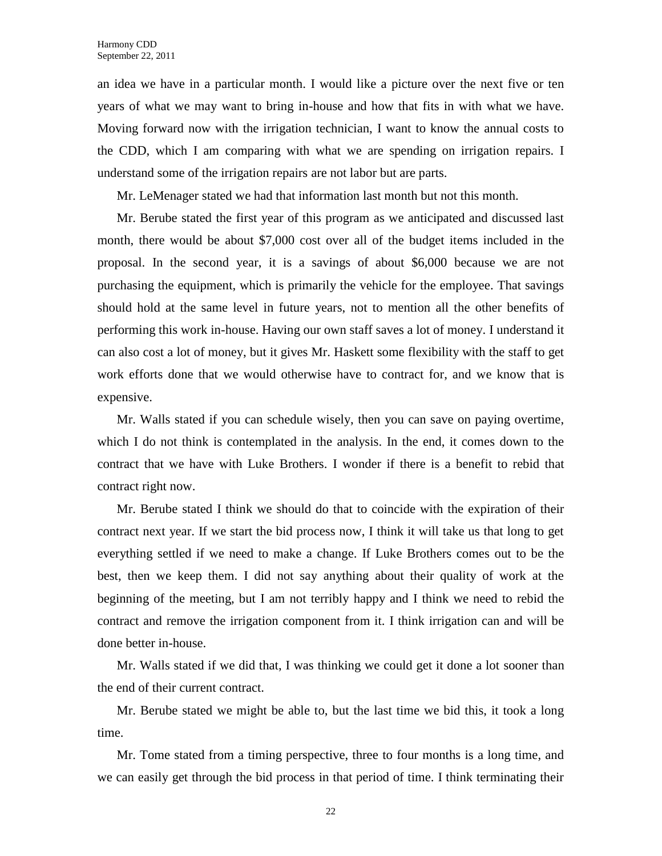an idea we have in a particular month. I would like a picture over the next five or ten years of what we may want to bring in-house and how that fits in with what we have. Moving forward now with the irrigation technician, I want to know the annual costs to the CDD, which I am comparing with what we are spending on irrigation repairs. I understand some of the irrigation repairs are not labor but are parts.

Mr. LeMenager stated we had that information last month but not this month.

Mr. Berube stated the first year of this program as we anticipated and discussed last month, there would be about \$7,000 cost over all of the budget items included in the proposal. In the second year, it is a savings of about \$6,000 because we are not purchasing the equipment, which is primarily the vehicle for the employee. That savings should hold at the same level in future years, not to mention all the other benefits of performing this work in-house. Having our own staff saves a lot of money. I understand it can also cost a lot of money, but it gives Mr. Haskett some flexibility with the staff to get work efforts done that we would otherwise have to contract for, and we know that is expensive.

Mr. Walls stated if you can schedule wisely, then you can save on paying overtime, which I do not think is contemplated in the analysis. In the end, it comes down to the contract that we have with Luke Brothers. I wonder if there is a benefit to rebid that contract right now.

Mr. Berube stated I think we should do that to coincide with the expiration of their contract next year. If we start the bid process now, I think it will take us that long to get everything settled if we need to make a change. If Luke Brothers comes out to be the best, then we keep them. I did not say anything about their quality of work at the beginning of the meeting, but I am not terribly happy and I think we need to rebid the contract and remove the irrigation component from it. I think irrigation can and will be done better in-house.

Mr. Walls stated if we did that, I was thinking we could get it done a lot sooner than the end of their current contract.

Mr. Berube stated we might be able to, but the last time we bid this, it took a long time.

Mr. Tome stated from a timing perspective, three to four months is a long time, and we can easily get through the bid process in that period of time. I think terminating their

22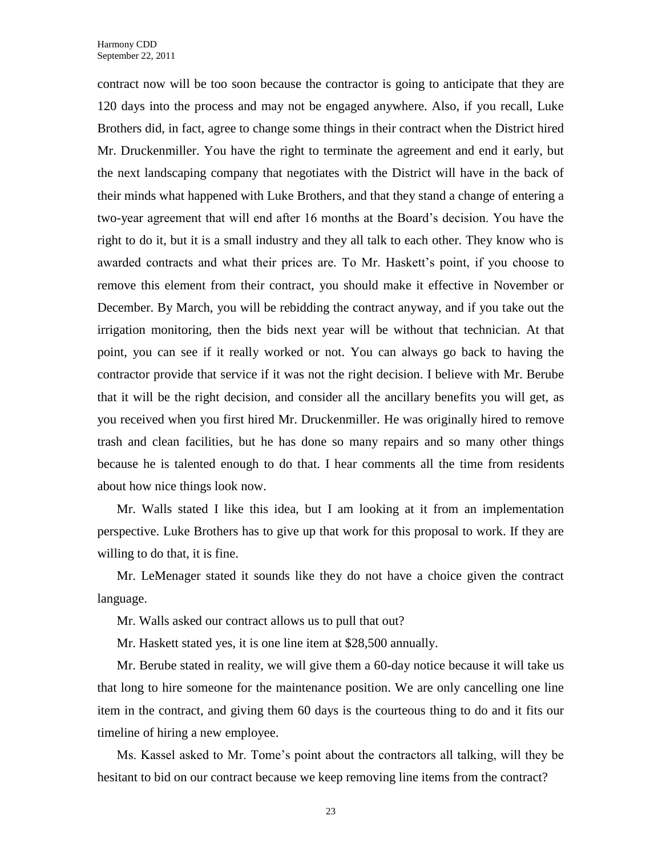contract now will be too soon because the contractor is going to anticipate that they are 120 days into the process and may not be engaged anywhere. Also, if you recall, Luke Brothers did, in fact, agree to change some things in their contract when the District hired Mr. Druckenmiller. You have the right to terminate the agreement and end it early, but the next landscaping company that negotiates with the District will have in the back of their minds what happened with Luke Brothers, and that they stand a change of entering a two-year agreement that will end after 16 months at the Board's decision. You have the right to do it, but it is a small industry and they all talk to each other. They know who is awarded contracts and what their prices are. To Mr. Haskett's point, if you choose to remove this element from their contract, you should make it effective in November or December. By March, you will be rebidding the contract anyway, and if you take out the irrigation monitoring, then the bids next year will be without that technician. At that point, you can see if it really worked or not. You can always go back to having the contractor provide that service if it was not the right decision. I believe with Mr. Berube that it will be the right decision, and consider all the ancillary benefits you will get, as you received when you first hired Mr. Druckenmiller. He was originally hired to remove trash and clean facilities, but he has done so many repairs and so many other things because he is talented enough to do that. I hear comments all the time from residents about how nice things look now.

Mr. Walls stated I like this idea, but I am looking at it from an implementation perspective. Luke Brothers has to give up that work for this proposal to work. If they are willing to do that, it is fine.

Mr. LeMenager stated it sounds like they do not have a choice given the contract language.

Mr. Walls asked our contract allows us to pull that out?

Mr. Haskett stated yes, it is one line item at \$28,500 annually.

Mr. Berube stated in reality, we will give them a 60-day notice because it will take us that long to hire someone for the maintenance position. We are only cancelling one line item in the contract, and giving them 60 days is the courteous thing to do and it fits our timeline of hiring a new employee.

Ms. Kassel asked to Mr. Tome's point about the contractors all talking, will they be hesitant to bid on our contract because we keep removing line items from the contract?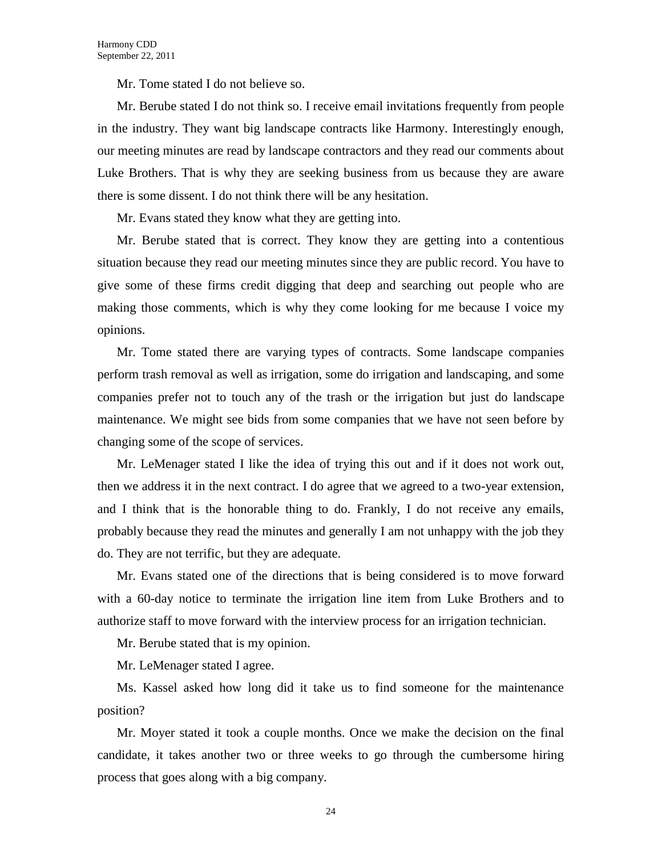Mr. Tome stated I do not believe so.

Mr. Berube stated I do not think so. I receive email invitations frequently from people in the industry. They want big landscape contracts like Harmony. Interestingly enough, our meeting minutes are read by landscape contractors and they read our comments about Luke Brothers. That is why they are seeking business from us because they are aware there is some dissent. I do not think there will be any hesitation.

Mr. Evans stated they know what they are getting into.

Mr. Berube stated that is correct. They know they are getting into a contentious situation because they read our meeting minutes since they are public record. You have to give some of these firms credit digging that deep and searching out people who are making those comments, which is why they come looking for me because I voice my opinions.

Mr. Tome stated there are varying types of contracts. Some landscape companies perform trash removal as well as irrigation, some do irrigation and landscaping, and some companies prefer not to touch any of the trash or the irrigation but just do landscape maintenance. We might see bids from some companies that we have not seen before by changing some of the scope of services.

Mr. LeMenager stated I like the idea of trying this out and if it does not work out, then we address it in the next contract. I do agree that we agreed to a two-year extension, and I think that is the honorable thing to do. Frankly, I do not receive any emails, probably because they read the minutes and generally I am not unhappy with the job they do. They are not terrific, but they are adequate.

Mr. Evans stated one of the directions that is being considered is to move forward with a 60-day notice to terminate the irrigation line item from Luke Brothers and to authorize staff to move forward with the interview process for an irrigation technician.

Mr. Berube stated that is my opinion.

Mr. LeMenager stated I agree.

Ms. Kassel asked how long did it take us to find someone for the maintenance position?

Mr. Moyer stated it took a couple months. Once we make the decision on the final candidate, it takes another two or three weeks to go through the cumbersome hiring process that goes along with a big company.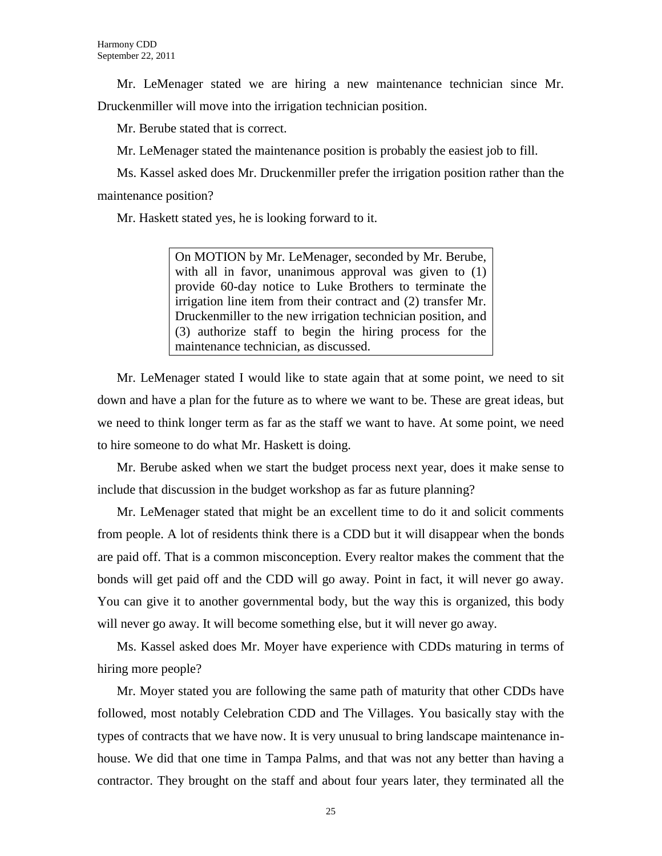Mr. LeMenager stated we are hiring a new maintenance technician since Mr. Druckenmiller will move into the irrigation technician position.

Mr. Berube stated that is correct.

Mr. LeMenager stated the maintenance position is probably the easiest job to fill.

Ms. Kassel asked does Mr. Druckenmiller prefer the irrigation position rather than the maintenance position?

Mr. Haskett stated yes, he is looking forward to it.

On MOTION by Mr. LeMenager, seconded by Mr. Berube, with all in favor, unanimous approval was given to  $(1)$ provide 60-day notice to Luke Brothers to terminate the irrigation line item from their contract and (2) transfer Mr. Druckenmiller to the new irrigation technician position, and (3) authorize staff to begin the hiring process for the maintenance technician, as discussed.

Mr. LeMenager stated I would like to state again that at some point, we need to sit down and have a plan for the future as to where we want to be. These are great ideas, but we need to think longer term as far as the staff we want to have. At some point, we need to hire someone to do what Mr. Haskett is doing.

Mr. Berube asked when we start the budget process next year, does it make sense to include that discussion in the budget workshop as far as future planning?

Mr. LeMenager stated that might be an excellent time to do it and solicit comments from people. A lot of residents think there is a CDD but it will disappear when the bonds are paid off. That is a common misconception. Every realtor makes the comment that the bonds will get paid off and the CDD will go away. Point in fact, it will never go away. You can give it to another governmental body, but the way this is organized, this body will never go away. It will become something else, but it will never go away.

Ms. Kassel asked does Mr. Moyer have experience with CDDs maturing in terms of hiring more people?

Mr. Moyer stated you are following the same path of maturity that other CDDs have followed, most notably Celebration CDD and The Villages. You basically stay with the types of contracts that we have now. It is very unusual to bring landscape maintenance inhouse. We did that one time in Tampa Palms, and that was not any better than having a contractor. They brought on the staff and about four years later, they terminated all the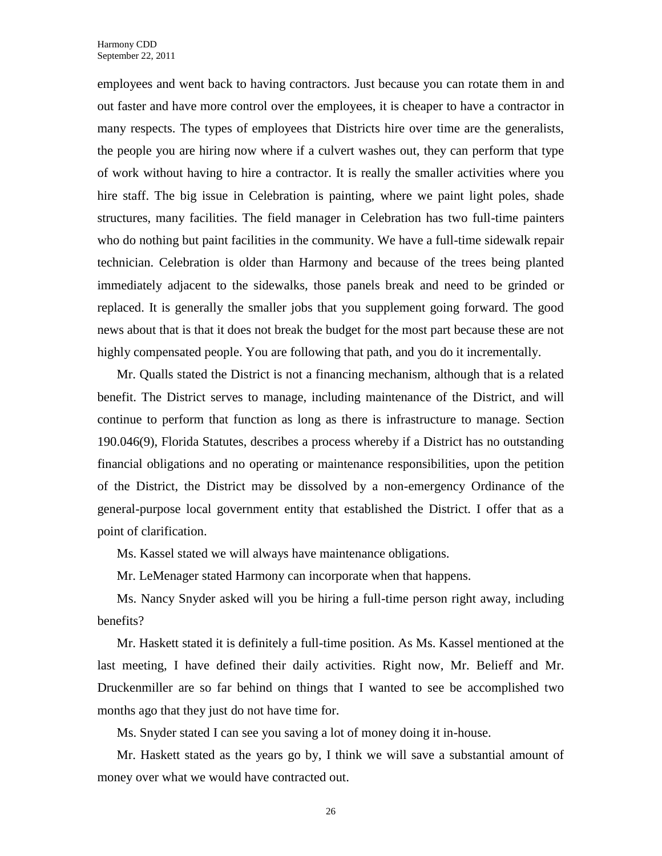employees and went back to having contractors. Just because you can rotate them in and out faster and have more control over the employees, it is cheaper to have a contractor in many respects. The types of employees that Districts hire over time are the generalists, the people you are hiring now where if a culvert washes out, they can perform that type of work without having to hire a contractor. It is really the smaller activities where you hire staff. The big issue in Celebration is painting, where we paint light poles, shade structures, many facilities. The field manager in Celebration has two full-time painters who do nothing but paint facilities in the community. We have a full-time sidewalk repair technician. Celebration is older than Harmony and because of the trees being planted immediately adjacent to the sidewalks, those panels break and need to be grinded or replaced. It is generally the smaller jobs that you supplement going forward. The good news about that is that it does not break the budget for the most part because these are not highly compensated people. You are following that path, and you do it incrementally.

Mr. Qualls stated the District is not a financing mechanism, although that is a related benefit. The District serves to manage, including maintenance of the District, and will continue to perform that function as long as there is infrastructure to manage. Section 190.046(9), Florida Statutes, describes a process whereby if a District has no outstanding financial obligations and no operating or maintenance responsibilities, upon the petition of the District, the District may be dissolved by a non-emergency Ordinance of the general-purpose local government entity that established the District. I offer that as a point of clarification.

Ms. Kassel stated we will always have maintenance obligations.

Mr. LeMenager stated Harmony can incorporate when that happens.

Ms. Nancy Snyder asked will you be hiring a full-time person right away, including benefits?

Mr. Haskett stated it is definitely a full-time position. As Ms. Kassel mentioned at the last meeting, I have defined their daily activities. Right now, Mr. Belieff and Mr. Druckenmiller are so far behind on things that I wanted to see be accomplished two months ago that they just do not have time for.

Ms. Snyder stated I can see you saving a lot of money doing it in-house.

Mr. Haskett stated as the years go by, I think we will save a substantial amount of money over what we would have contracted out.